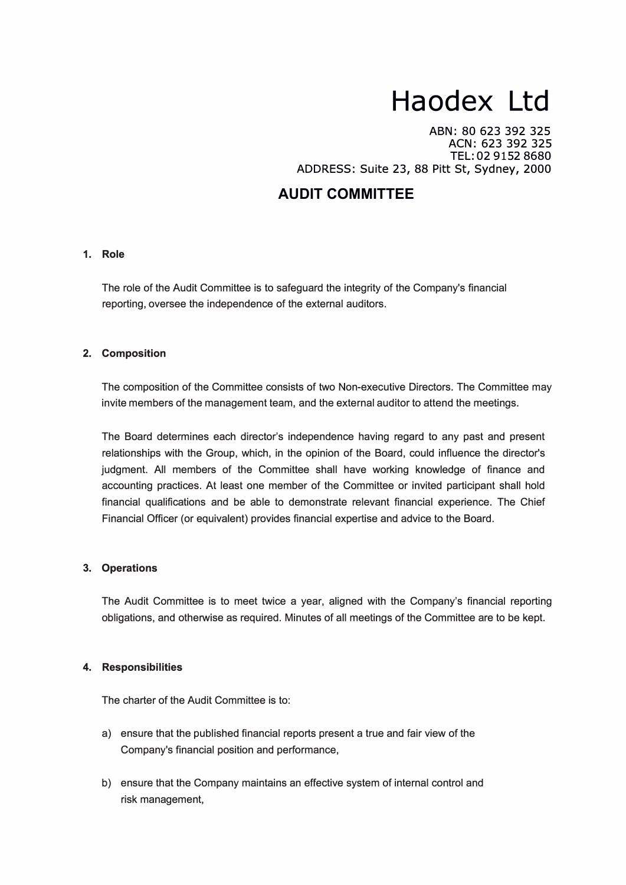# **Haodex Ltd**

ABN: 80 623 392 325 ACN: 623 392 325 TEL: 02 9152 8680 ADDRESS: Suite 23, 88 Pitt St, Sydney, 2000

# **AUDIT COMMITTEE**

# **1. Role**

The role of the Audit Committee is to safeguard the integrity of the Company's financial reporting, oversee the independence of the external auditors.

#### **2. Composition**

The composition of the Committee consists of two Non-executive Directors. The Committee may invite members of the management team, and the external auditor to attend the meetings.

The Board determines each director's independence having regard to any past and present relationships with the Group, which, in the opinion of the Board, could influence the director's judgment. All members of the Committee shall have working knowledge of finance and accounting practices. At least one member of the Committee or invited participant shall hold financial qualifications and be able to demonstrate relevant financial experience. The Chief Financial Officer (or equivalent) provides financial expertise and advice to the Board.

# **3. Operations**

The Audit Committee is to meet twice a year, aligned with the Company's financial reporting obligations, and otherwise as required. Minutes of all meetings of the Committee are to be kept.

# **4. Responsibilities**

The charter of the Audit Committee is to:

- a) ensure that the published financial reports present a true and fair view of the Company's financial position and performance,
- b} ensure that the Company maintains an effective system of internal control and risk management,